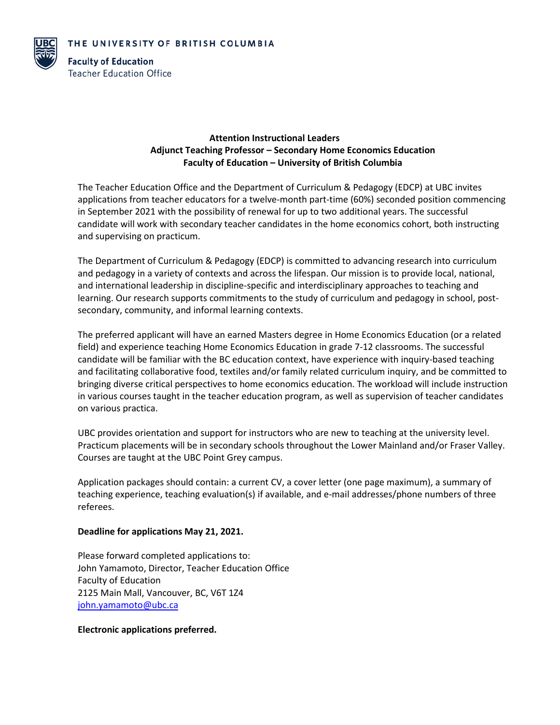

**Faculty of Education Teacher Education Office** 

## **Attention Instructional Leaders Adjunct Teaching Professor – Secondary Home Economics Education Faculty of Education – University of British Columbia**

The Teacher Education Office and the Department of Curriculum & Pedagogy (EDCP) at UBC invites applications from teacher educators for a twelve-month part-time (60%) seconded position commencing in September 2021 with the possibility of renewal for up to two additional years. The successful candidate will work with secondary teacher candidates in the home economics cohort, both instructing and supervising on practicum.

The Department of Curriculum & Pedagogy (EDCP) is committed to advancing research into curriculum and pedagogy in a variety of contexts and across the lifespan. Our mission is to provide local, national, and international leadership in discipline-specific and interdisciplinary approaches to teaching and learning. Our research supports commitments to the study of curriculum and pedagogy in school, postsecondary, community, and informal learning contexts.

The preferred applicant will have an earned Masters degree in Home Economics Education (or a related field) and experience teaching Home Economics Education in grade 7-12 classrooms. The successful candidate will be familiar with the BC education context, have experience with inquiry-based teaching and facilitating collaborative food, textiles and/or family related curriculum inquiry, and be committed to bringing diverse critical perspectives to home economics education. The workload will include instruction in various courses taught in the teacher education program, as well as supervision of teacher candidates on various practica.

UBC provides orientation and support for instructors who are new to teaching at the university level. Practicum placements will be in secondary schools throughout the Lower Mainland and/or Fraser Valley. Courses are taught at the UBC Point Grey campus.

Application packages should contain: a current CV, a cover letter (one page maximum), a summary of teaching experience, teaching evaluation(s) if available, and e-mail addresses/phone numbers of three referees.

## **Deadline for applications May 21, 2021.**

Please forward completed applications to: John Yamamoto, Director, Teacher Education Office Faculty of Education 2125 Main Mall, Vancouver, BC, V6T 1Z4 [john.yamamoto@ubc.ca](mailto:john.yamamoto@ubc.ca)

## **Electronic applications preferred.**